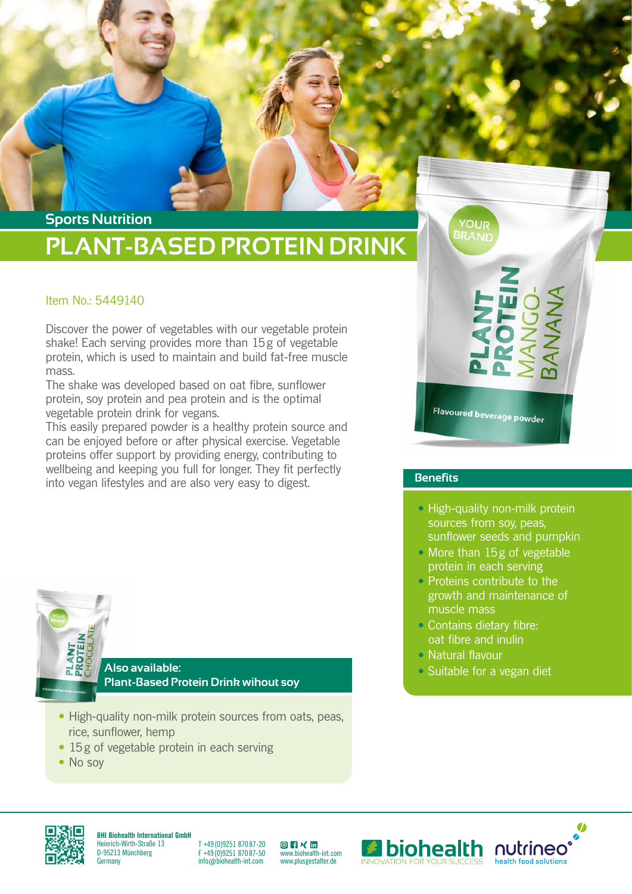## **PLANT-BASED PROTEIN DRINK Sports Nutrition**

## Item No.: 5449140

Discover the power of vegetables with our vegetable protein shake! Each serving provides more than 15g of vegetable protein, which is used to maintain and build fat-free muscle mass.

The shake was developed based on oat fibre, sunflower protein, soy protein and pea protein and is the optimal vegetable protein drink for vegans.

This easily prepared powder is a healthy protein source and can be enjoyed before or after physical exercise. Vegetable proteins offer support by providing energy, contributing to wellbeing and keeping you full for longer. They fit perfectly into vegan lifestyles and are also very easy to digest.

Flavoured beverage powder

**YOUR BRAND** 

#### **Benefits**

- High-quality non-milk protein sources from soy, peas, sunflower seeds and pumpkin
- More than 15g of vegetable protein in each serving
- Proteins contribute to the growth and maintenance of muscle mass
- Contains dietary fibre: oat fibre and inulin
- Natural flavour
- Suitable for a vegan diet

**Also available: Plant-Based Protein Drink wihout soy**

- High-quality non-milk protein sources from oats, peas, rice, sunflower, hemp
- 15g of vegetable protein in each serving
- No soy



**BHI Biohealth International GmbH** Heinrich-Wirth-Straße 13 D-95213 Münchberg **Germany** 

T +49 (0)9251 870 87-20 F +49 (0)9251 870 87-50 info@biohealth-int.com

**◎ F × in**<br>[ww](https://www.instagram.com/biohealth.international/)[w.b](https://www.facebook.com/biohealth.international/)[iohe](https://www.xing.com/pages/biohealthinternationalgmbh)[alth-](https://www.linkedin.com/company/7256915/admin/)int.com www.plusgestalter.de